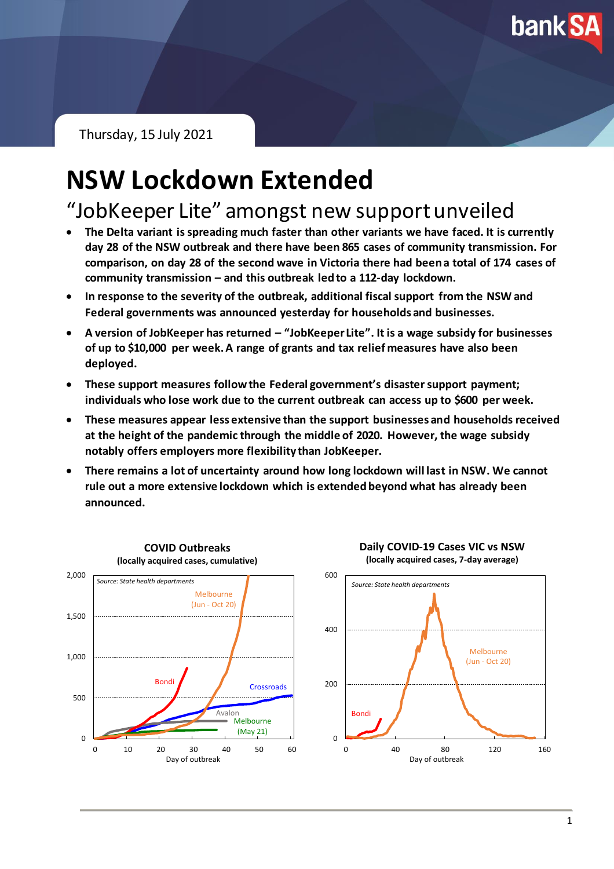**bank SA** 

Thursday, 15 July 2021

# **NSW Lockdown Extended**

"JobKeeper Lite" amongst new support unveiled

- **The Delta variant is spreading much faster than other variants we have faced. It is currently day 28 of the NSW outbreak and there have been 865 cases of community transmission. For comparison, on day 28 of the second wave in Victoria there had been a total of 174 cases of community transmission – and this outbreak led to a 112-day lockdown.**
- **In response to the severity of the outbreak, additional fiscal support from the NSW and Federal governments was announced yesterday for households and businesses.**
- **A version of JobKeeper has returned – "JobKeeper Lite". It is a wage subsidy for businesses of up to \$10,000 per week. A range of grants and tax relief measures have also been deployed.**
- **These support measures follow the Federal government's disaster support payment; individuals who lose work due to the current outbreak can access up to \$600 per week.**
- **These measures appear less extensive than the support businesses and households received at the height of the pandemic through the middle of 2020. However, the wage subsidy notably offers employers more flexibility than JobKeeper.**
- **There remains a lot of uncertainty around how long lockdown will last in NSW. We cannot rule out a more extensive lockdown which is extended beyond what has already been announced.**

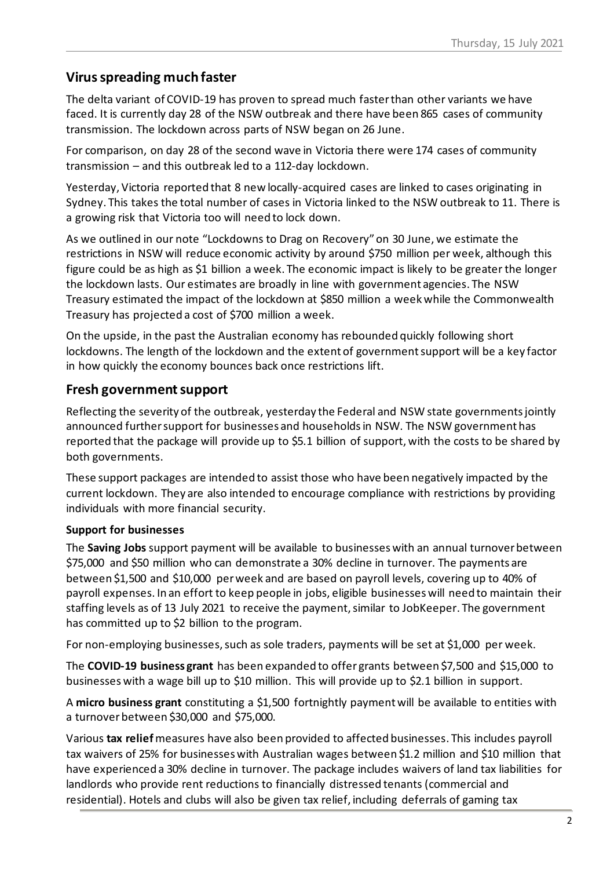### **Virus spreading much faster**

The delta variant of COVID-19 has proven to spread much fasterthan other variants we have faced. It is currently day 28 of the NSW outbreak and there have been 865 cases of community transmission. The lockdown across parts of NSW began on 26 June.

For comparison, on day 28 of the second wave in Victoria there were 174 cases of community transmission – and this outbreak led to a 112-day lockdown.

Yesterday, Victoria reported that 8 new locally-acquired cases are linked to cases originating in Sydney. This takes the total number of cases in Victoria linked to the NSW outbreak to 11. There is a growing risk that Victoria too will need to lock down.

As we outlined in our note "Lockdowns to Drag on Recovery"on 30 June, we estimate the restrictions in NSW will reduce economic activity by around \$750 million per week, although this figure could be as high as \$1 billion a week. The economic impact is likely to be greater the longer the lockdown lasts. Our estimates are broadly in line with government agencies. The NSW Treasury estimated the impact of the lockdown at \$850 million a week while the Commonwealth Treasury has projected a cost of \$700 million a week.

On the upside, in the past the Australian economy has rebounded quickly following short lockdowns. The length of the lockdown and the extent of government support will be a key factor in how quickly the economy bounces back once restrictions lift.

#### **Fresh government support**

Reflecting the severity of the outbreak, yesterday the Federal and NSW state governmentsjointly announced further support for businesses and householdsin NSW. The NSW government has reported that the package will provide up to \$5.1 billion of support, with the costs to be shared by both governments.

These support packages are intended to assist those who have been negatively impacted by the current lockdown. They are also intended to encourage compliance with restrictions by providing individuals with more financial security.

#### **Support for businesses**

The **Saving Jobs** support payment will be available to businesses with an annual turnover between \$75,000 and \$50 million who can demonstrate a 30% decline in turnover. The payments are between \$1,500 and \$10,000 per week and are based on payroll levels, covering up to 40% of payroll expenses. In an effort to keep people in jobs, eligible businesses will need to maintain their staffing levels as of 13 July 2021 to receive the payment, similar to JobKeeper. The government has committed up to \$2 billion to the program.

For non-employing businesses, such as sole traders, payments will be set at \$1,000 per week.

The **COVID-19 business grant** has been expanded to offer grants between \$7,500 and \$15,000 to businesses with a wage bill up to \$10 million. This will provide up to \$2.1 billion in support.

A **micro business grant** constituting a \$1,500 fortnightly payment will be available to entities with a turnover between \$30,000 and \$75,000.

Various **tax relief**measures have also been provided to affected businesses. This includes payroll tax waivers of 25% for businesses with Australian wages between \$1.2 million and \$10 million that have experienced a 30% decline in turnover. The package includes waivers of land tax liabilities for landlords who provide rent reductions to financially distressed tenants (commercial and residential). Hotels and clubs will also be given tax relief, including deferrals of gaming tax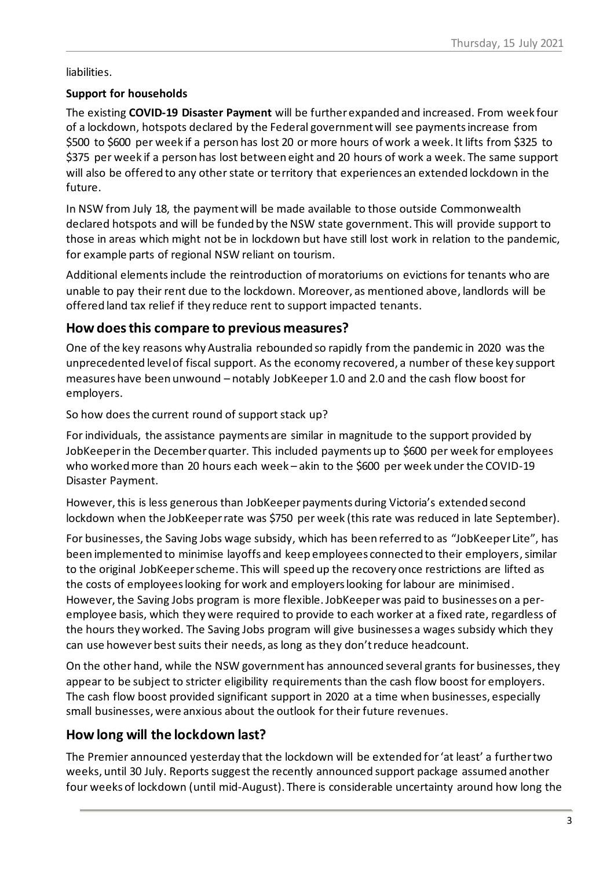liabilities.

#### **Support for households**

The existing **COVID-19 Disaster Payment** will be further expanded and increased. From week four of a lockdown, hotspots declared by the Federal government will see payments increase from \$500 to \$600 per week if a person has lost 20 or more hours of work a week. It lifts from \$325 to \$375 per week if a person has lost between eight and 20 hours of work a week. The same support will also be offered to any other state or territory that experiences an extended lockdown in the future.

In NSW from July 18, the payment will be made available to those outside Commonwealth declared hotspots and will be funded by the NSW state government. This will provide support to those in areas which might not be in lockdown but have still lost work in relation to the pandemic, for example parts of regional NSW reliant on tourism.

Additional elements include the reintroduction of moratoriums on evictions for tenants who are unable to pay their rent due to the lockdown. Moreover, as mentioned above, landlords will be offered land tax relief if they reduce rent to support impacted tenants.

#### **How does this compare to previous measures?**

One of the key reasons why Australia rebounded so rapidly from the pandemic in 2020 was the unprecedented level of fiscal support. As the economy recovered, a number of these key support measures have been unwound – notably JobKeeper 1.0 and 2.0 and the cash flow boost for employers.

So how does the current round of support stack up?

For individuals, the assistance payments are similar in magnitude to the support provided by JobKeeper in the December quarter. This included payments up to \$600 per week for employees who worked more than 20 hours each week – akin to the \$600 per week under the COVID-19 Disaster Payment.

However,this is less generous than JobKeeper payments during Victoria's extended second lockdown when the JobKeeper rate was \$750 per week (this rate was reduced in late September).

For businesses, the Saving Jobs wage subsidy, which has been referred to as "JobKeeper Lite", has been implemented to minimise layoffs and keep employees connected to their employers, similar to the original JobKeeperscheme. This will speed up the recovery once restrictions are lifted as the costs of employees looking for work and employers looking for labour are minimised. However, the Saving Jobs program is more flexible. JobKeeper was paid to businesses on a peremployee basis, which they were required to provide to each worker at a fixed rate, regardless of the hours they worked. The Saving Jobs program will give businesses a wages subsidy which they can use however best suits their needs, as long as they don't reduce headcount.

On the other hand, while the NSW government has announced several grants for businesses, they appear to be subject to stricter eligibility requirements than the cash flow boost for employers. The cash flow boost provided significant support in 2020 at a time when businesses, especially small businesses, were anxious about the outlook for their future revenues.

#### **How long will the lockdown last?**

The Premier announced yesterday that the lockdown will be extended for 'at least' a further two weeks, until 30 July. Reports suggest the recently announced support package assumed another four weeks of lockdown (until mid-August). There is considerable uncertainty around how long the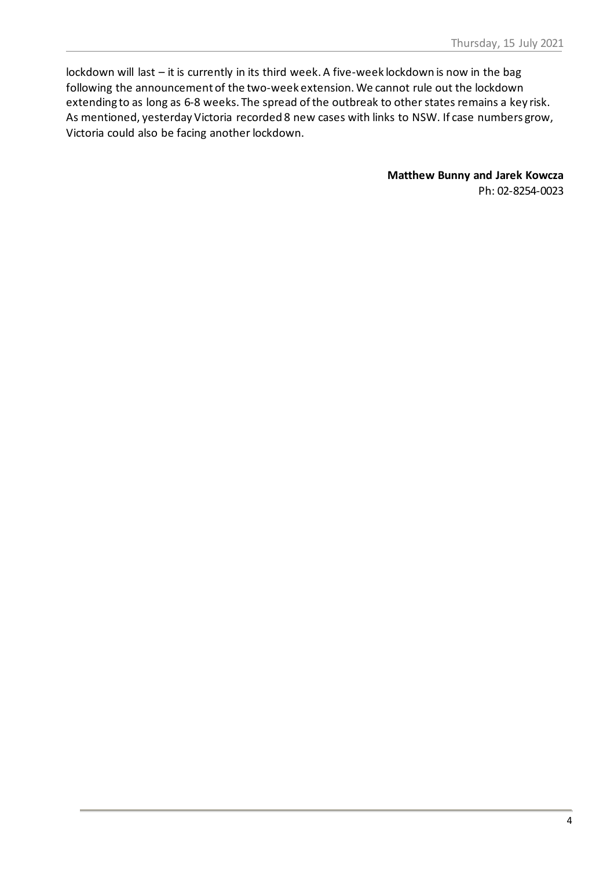lockdown will last – it is currently in its third week. A five-week lockdown is now in the bag following the announcement of the two-week extension.We cannot rule out the lockdown extending to as long as 6-8 weeks. The spread of the outbreak to other states remains a key risk. As mentioned, yesterday Victoria recorded 8 new cases with links to NSW. If case numbers grow, Victoria could also be facing another lockdown.

> **Matthew Bunny and Jarek Kowcza** Ph: 02-8254-0023